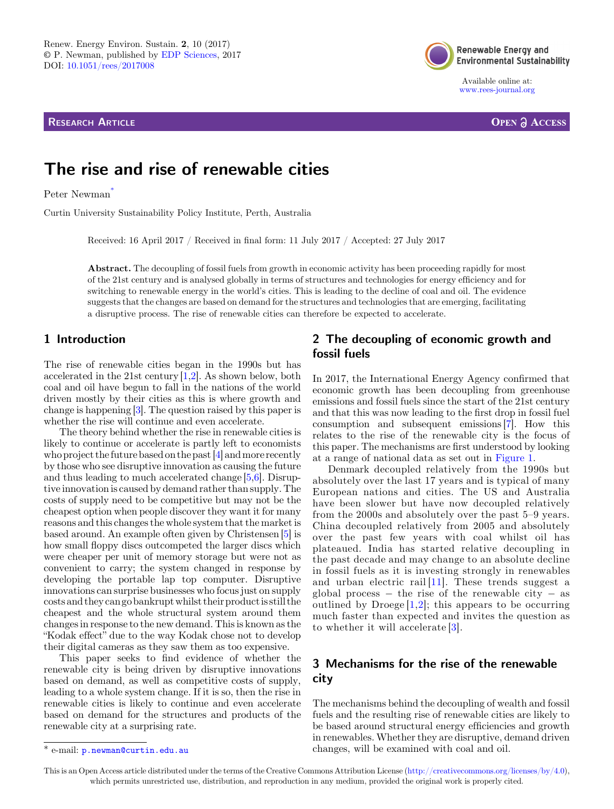RESEARCH ARTICLE



Available online at: [www.rees-journal.org](http://www.rees-journal.org)

**OPEN A ACCESS** 

# The rise and rise of renewable cities

Peter Newman<sup>\*</sup>

Curtin University Sustainability Policy Institute, Perth, Australia

Received: 16 April 2017 / Received in final form: 11 July 2017 / Accepted: 27 July 2017

Abstract. The decoupling of fossil fuels from growth in economic activity has been proceeding rapidly for most of the 21st century and is analysed globally in terms of structures and technologies for energy efficiency and for switching to renewable energy in the world's cities. This is leading to the decline of coal and oil. The evidence suggests that the changes are based on demand for the structures and technologies that are emerging, facilitating a disruptive process. The rise of renewable cities can therefore be expected to accelerate.

## 1 Introduction

The rise of renewable cities began in the 1990s but has accelerated in the 21st century [[1,2](#page-3-0)]. As shown below, both coal and oil have begun to fall in the nations of the world driven mostly by their cities as this is where growth and change is happening [[3](#page-3-0)]. The question raised by this paper is whether the rise will continue and even accelerate.

The theory behind whether the rise in renewable cities is likely to continue or accelerate is partly left to economists who project the future based on the past  $[4]$  and more recently by those who see disruptive innovation as causing the future and thus leading to much accelerated change [[5,6](#page-4-0)]. Disruptive innovation is caused by demand rather than supply. The costs of supply need to be competitive but may not be the cheapest option when people discover they want it for many reasons and this changes the whole system that the market is based around. An example often given by Christensen [\[5](#page-4-0)] is how small floppy discs outcompeted the larger discs which were cheaper per unit of memory storage but were not as convenient to carry; the system changed in response by developing the portable lap top computer. Disruptive innovations can surprise businesses who focus just on supply costs and they can go bankrupt whilst their productis still the cheapest and the whole structural system around them changes in response to the new demand. This is known as the "Kodak effect" due to the way Kodak chose not to develop their digital cameras as they saw them as too expensive.

This paper seeks to find evidence of whether the renewable city is being driven by disruptive innovations based on demand, as well as competitive costs of supply, leading to a whole system change. If it is so, then the rise in renewable cities is likely to continue and even accelerate based on demand for the structures and products of the renewable city at a surprising rate.

## 2 The decoupling of economic growth and fossil fuels

In 2017, the International Energy Agency confirmed that economic growth has been decoupling from greenhouse emissions and fossil fuels since the start of the 21st century and that this was now leading to the first drop in fossil fuel consumption and subsequent emissions [[7\]](#page-4-0). How this relates to the rise of the renewable city is the focus of this paper. The mechanisms are first understood by looking at a range of national data as set out in [Figure 1](#page-1-0).

Denmark decoupled relatively from the 1990s but absolutely over the last 17 years and is typical of many European nations and cities. The US and Australia have been slower but have now decoupled relatively from the 2000s and absolutely over the past 5–9 years. China decoupled relatively from 2005 and absolutely over the past few years with coal whilst oil has plateaued. India has started relative decoupling in the past decade and may change to an absolute decline in fossil fuels as it is investing strongly in renewables and urban electric rail  $[11]$  $[11]$ . These trends suggest a global process  $-$  the rise of the renewable city  $-$  as outlined by Droege  $[1,2]$ ; this appears to be occurring much faster than expected and invites the question as to whether it will accelerate [[3](#page-3-0)].

# 3 Mechanisms for the rise of the renewable city

The mechanisms behind the decoupling of wealth and fossil fuels and the resulting rise of renewable cities are likely to be based around structural energy efficiencies and growth in renewables. Whether they are disruptive, demand driven \* e-mail: [p.newman@curtin.edu.au](mailto:p.newman@curtin.edu.au) changes, will be examined with coal and oil.

This is an Open Access article distributed under the terms of the Creative Commons Attribution License [\(http://creativecommons.org/licenses/by/4.0\)](http://creativecommons.org/licenses/by/4.0), which permits unrestricted use, distribution, and reproduction in any medium, provided the original work is properly cited.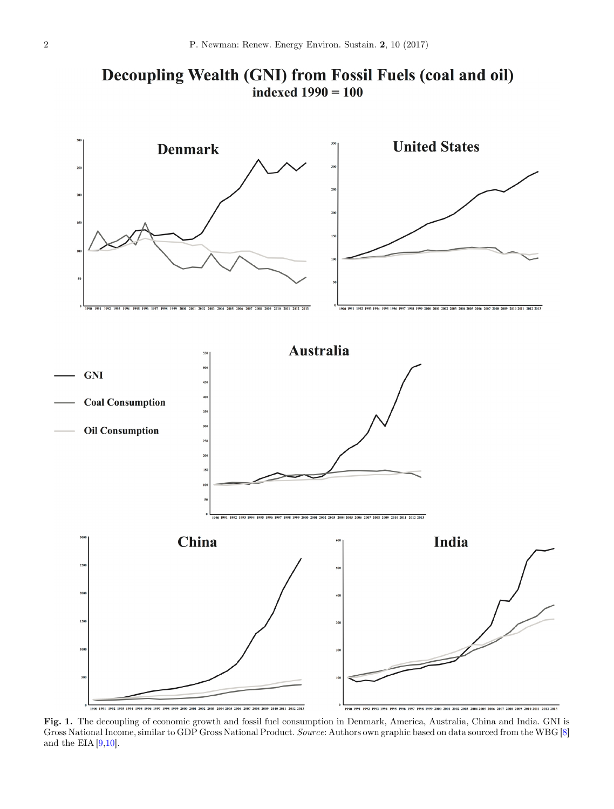<span id="page-1-0"></span>



Fig. 1. The decoupling of economic growth and fossil fuel consumption in Denmark, America, Australia, China and India. GNI is Gross National Income, similar to GDP Gross National Product. Source: Authors own graphic based on data sourced from the WBG [[8](#page-4-0)] and the EIA  $[9,10]$  $[9,10]$ .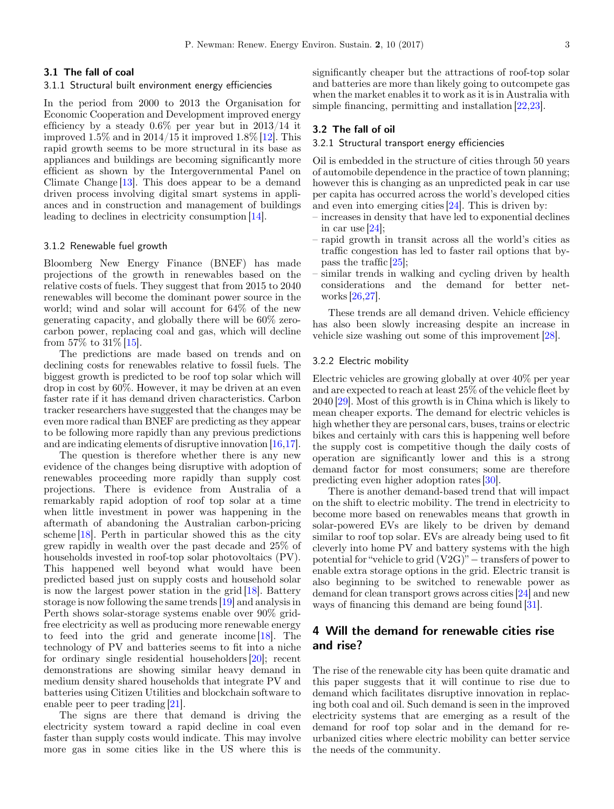#### 3.1 The fall of coal

#### 3.1.1 Structural built environment energy efficiencies

In the period from 2000 to 2013 the Organisation for Economic Cooperation and Development improved energy efficiency by a steady 0.6% per year but in 2013/14 it improved  $1.5\%$  and in  $2014/15$  it improved  $1.8\%$  [\[12](#page-4-0)]. This rapid growth seems to be more structural in its base as appliances and buildings are becoming significantly more efficient as shown by the Intergovernmental Panel on Climate Change [\[13](#page-4-0)]. This does appear to be a demand driven process involving digital smart systems in appliances and in construction and management of buildings leading to declines in electricity consumption [[14\]](#page-4-0).

#### 3.1.2 Renewable fuel growth

3.1.2 Renewable fuel growth Bloomberg New Energy Finance (BNEF) has made projections of the growth in renewables based on the relative costs of fuels. They suggest that from 2015 to 2040 renewables will become the dominant power source in the world; wind and solar will account for 64% of the new generating capacity, and globally there will be 60% zerocarbon power, replacing coal and gas, which will decline from 57\% to  $31\%$  [[15](#page-4-0)].

The predictions are made based on trends and on declining costs for renewables relative to fossil fuels. The biggest growth is predicted to be roof top solar which will drop in cost by 60%. However, it may be driven at an even faster rate if it has demand driven characteristics. Carbon tracker researchers have suggested that the changes may be even more radical than BNEF are predicting as they appear to be following more rapidly than any previous predictions and are indicating elements of disruptive innovation [\[16,17](#page-4-0)].

The question is therefore whether there is any new evidence of the changes being disruptive with adoption of renewables proceeding more rapidly than supply cost projections. There is evidence from Australia of a remarkably rapid adoption of roof top solar at a time when little investment in power was happening in the aftermath of abandoning the Australian carbon-pricing scheme [\[18\]](#page-4-0). Perth in particular showed this as the city grew rapidly in wealth over the past decade and 25% of households invested in roof-top solar photovoltaics (PV). This happened well beyond what would have been predicted based just on supply costs and household solar is now the largest power station in the grid [\[18](#page-4-0)]. Battery storage is now following the same trends [\[19](#page-4-0)] and analysis in Perth shows solar-storage systems enable over 90% gridfree electricity as well as producing more renewable energy to feed into the grid and generate income  $[18]$  $[18]$ . The technology of PV and batteries seems to fit into a niche for ordinary single residential householders [[20\]](#page-4-0); recent demonstrations are showing similar heavy demand in medium density shared households that integrate PV and batteries using Citizen Utilities and blockchain software to enable peer to peer trading [[21\]](#page-4-0).

The signs are there that demand is driving the electricity system toward a rapid decline in coal even faster than supply costs would indicate. This may involve more gas in some cities like in the US where this is

significantly cheaper but the attractions of roof-top solar and batteries are more than likely going to outcompete gas when the market enables it to work as it is in Australia with simple financing, permitting and installation [\[22,23](#page-4-0)].

#### 3.2 The fall of oil

#### 3.2.1 Structural transport energy efficiencies

Oil is embedded in the structure of cities through 50 years of automobile dependence in the practice of town planning; however this is changing as an unpredicted peak in car use per capita has occurred across the world's developed cities and even into emerging cities [\[24](#page-4-0)]. This is driven by:

- increases in density that have led to exponential declines in car use [\[24](#page-4-0)];
- rapid growth in transit across all the world's cities as traffic congestion has led to faster rail options that bypass the traffic [[25\]](#page-4-0);
- similar trends in walking and cycling driven by health considerations and the demand for better networks [\[26,27](#page-4-0)].

These trends are all demand driven. Vehicle efficiency has also been slowly increasing despite an increase in vehicle size washing out some of this improvement [\[28](#page-4-0)].

# 3.2.2 Electric mobility

Electric vehicles are growing globally at over 40% per year and are expected to reach at least 25% of the vehicle fleet by 2040 [[29\]](#page-4-0). Most of this growth is in China which is likely to mean cheaper exports. The demand for electric vehicles is high whether they are personal cars, buses, trains or electric bikes and certainly with cars this is happening well before the supply cost is competitive though the daily costs of operation are significantly lower and this is a strong demand factor for most consumers; some are therefore predicting even higher adoption rates [[30\]](#page-4-0).

There is another demand-based trend that will impact on the shift to electric mobility. The trend in electricity to become more based on renewables means that growth in solar-powered EVs are likely to be driven by demand similar to roof top solar. EVs are already being used to fit cleverly into home PV and battery systems with the high potential for "vehicle to grid  $(V2G)$ "  $-$  transfers of power to enable extra storage options in the grid. Electric transit is also beginning to be switched to renewable power as demand for clean transport grows across cities [[24\]](#page-4-0) and new ways of financing this demand are being found [\[31](#page-4-0)].

# 4 Will the demand for renewable cities rise and rise?

The rise of the renewable city has been quite dramatic and this paper suggests that it will continue to rise due to demand which facilitates disruptive innovation in replacing both coal and oil. Such demand is seen in the improved electricity systems that are emerging as a result of the demand for roof top solar and in the demand for reurbanized cities where electric mobility can better service the needs of the community.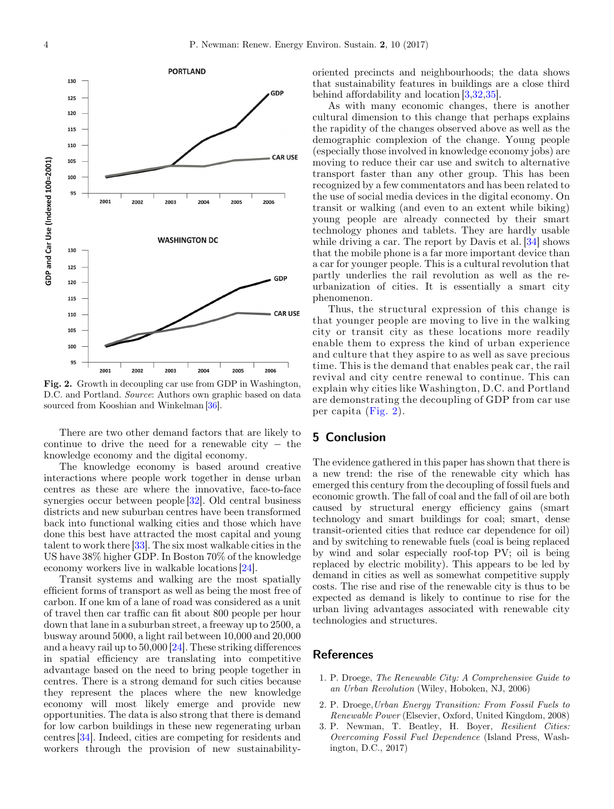<span id="page-3-0"></span>

Fig. 2. Growth in decoupling car use from GDP in Washington, D.C. and Portland. Source: Authors own graphic based on data sourced from Kooshian and Winkelman [[36\]](#page-4-0).

There are two other demand factors that are likely to continue to drive the need for a renewable city  $-$  the knowledge economy and the digital economy.

The knowledge economy is based around creative interactions where people work together in dense urban centres as these are where the innovative, face-to-face synergies occur between people [[32\]](#page-4-0). Old central business districts and new suburban centres have been transformed back into functional walking cities and those which have done this best have attracted the most capital and young talent to work there [[33](#page-4-0)]. The six most walkable cities in the US have 38% higher GDP. In Boston 70% of the knowledge economy workers live in walkable locations [[24\]](#page-4-0).

Transit systems and walking are the most spatially efficient forms of transport as well as being the most free of carbon. If one km of a lane of road was considered as a unit of travel then car traffic can fit about 800 people per hour down that lane in a suburban street, a freeway up to 2500, a busway around 5000, a light rail between 10,000 and 20,000 and a heavy rail up to 50,000 [[24\]](#page-4-0). These striking differences in spatial efficiency are translating into competitive advantage based on the need to bring people together in centres. There is a strong demand for such cities because they represent the places where the new knowledge economy will most likely emerge and provide new opportunities. The data is also strong that there is demand for low carbon buildings in these new regenerating urban centres [\[34](#page-4-0)]. Indeed, cities are competing for residents and workers through the provision of new sustainabilityoriented precincts and neighbourhoods; the data shows that sustainability features in buildings are a close third behind affordability and location [3[,32,35](#page-4-0)].

As with many economic changes, there is another cultural dimension to this change that perhaps explains the rapidity of the changes observed above as well as the demographic complexion of the change. Young people (especially those involved in knowledge economy jobs) are moving to reduce their car use and switch to alternative transport faster than any other group. This has been recognized by a few commentators and has been related to the use of social media devices in the digital economy. On transit or walking (and even to an extent while biking) young people are already connected by their smart technology phones and tablets. They are hardly usable while driving a car. The report by Davis et al. [[34\]](#page-4-0) shows that the mobile phone is a far more important device than a car for younger people. This is a cultural revolution that partly underlies the rail revolution as well as the reurbanization of cities. It is essentially a smart city phenomenon.

Thus, the structural expression of this change is that younger people are moving to live in the walking city or transit city as these locations more readily enable them to express the kind of urban experience and culture that they aspire to as well as save precious time. This is the demand that enables peak car, the rail revival and city centre renewal to continue. This can explain why cities like Washington, D.C. and Portland are demonstrating the decoupling of GDP from car use per capita (Fig. 2).

### 5 Conclusion

The evidence gathered in this paper has shown that there is a new trend: the rise of the renewable city which has emerged this century from the decoupling of fossil fuels and economic growth. The fall of coal and the fall of oil are both caused by structural energy efficiency gains (smart technology and smart buildings for coal; smart, dense transit-oriented cities that reduce car dependence for oil) and by switching to renewable fuels (coal is being replaced by wind and solar especially roof-top PV; oil is being replaced by electric mobility). This appears to be led by demand in cities as well as somewhat competitive supply costs. The rise and rise of the renewable city is thus to be expected as demand is likely to continue to rise for the urban living advantages associated with renewable city technologies and structures.

### References

- 1. P. Droege, The Renewable City: A Comprehensive Guide to an Urban Revolution (Wiley, Hoboken, NJ, 2006)
- 2. P. Droege,Urban Energy Transition: From Fossil Fuels to Renewable Power (Elsevier, Oxford, United Kingdom, 2008)
- 3. P. Newman, T. Beatley, H. Boyer, Resilient Cities: Overcoming Fossil Fuel Dependence (Island Press, Washington, D.C., 2017)